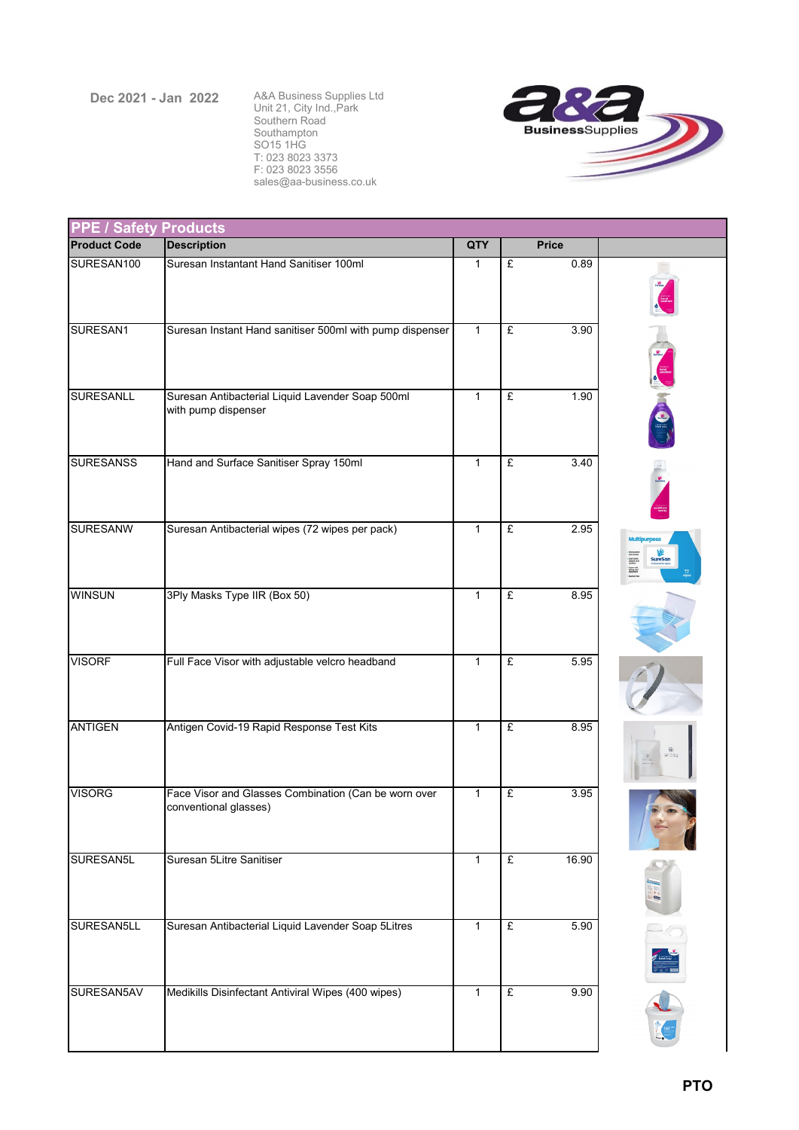## **Dec 2021 - Jan 2022**

A&A Business Supplies Ltd Unit 21, City Ind.,Park Southern Road Southampton SO15 1HG T: 023 8023 3373 F: 023 8023 3556 sales@aa-business.co.uk



| <b>PPE / Safety Products</b> |                                                          |                |   |              |                                                                                                                |  |  |  |
|------------------------------|----------------------------------------------------------|----------------|---|--------------|----------------------------------------------------------------------------------------------------------------|--|--|--|
| <b>Product Code</b>          | <b>Description</b>                                       | QTY            |   | <b>Price</b> |                                                                                                                |  |  |  |
| SURESAN100                   | Suresan Instantant Hand Sanitiser 100ml                  | $\mathbf{1}$   | £ | 0.89         |                                                                                                                |  |  |  |
|                              |                                                          |                |   |              |                                                                                                                |  |  |  |
| SURESAN1                     | Suresan Instant Hand sanitiser 500ml with pump dispenser | $\mathbf{1}$   | £ | 3.90         |                                                                                                                |  |  |  |
|                              |                                                          |                |   |              |                                                                                                                |  |  |  |
| <b>SURESANLL</b>             | Suresan Antibacterial Liquid Lavender Soap 500ml         | $\overline{1}$ | £ | 1.90         |                                                                                                                |  |  |  |
|                              | with pump dispenser                                      |                |   |              |                                                                                                                |  |  |  |
| <b>SURESANSS</b>             | Hand and Surface Sanitiser Spray 150ml                   | $\mathbf{1}$   | £ | 3.40         |                                                                                                                |  |  |  |
|                              |                                                          |                |   |              |                                                                                                                |  |  |  |
| <b>SURESANW</b>              | Suresan Antibacterial wipes (72 wipes per pack)          | $\mathbf{1}$   | £ | 2.95         | Multi                                                                                                          |  |  |  |
|                              |                                                          |                |   |              | City boothers<br>ond virusm<br>chargrap and<br>sandbar<br>SureSan<br>Marway!<br>International<br>International |  |  |  |
| <b>WINSUN</b>                | 3Ply Masks Type IIR (Box 50)                             | $\mathbf{1}$   | £ | 8.95         |                                                                                                                |  |  |  |
|                              |                                                          |                |   |              |                                                                                                                |  |  |  |
| <b>VISORF</b>                | Full Face Visor with adjustable velcro headband          | $\mathbf{1}$   | £ | 5.95         |                                                                                                                |  |  |  |
| <b>ANTIGEN</b>               | Antigen Covid-19 Rapid Response Test Kits                | $\mathbf{1}$   | £ | 8.95         |                                                                                                                |  |  |  |
|                              |                                                          |                |   |              |                                                                                                                |  |  |  |
| <b>VISORG</b>                | Face Visor and Glasses Combination (Can be worn over     | $\mathbf{1}$   | £ | 3.95         |                                                                                                                |  |  |  |
|                              | conventional glasses)                                    |                |   |              |                                                                                                                |  |  |  |
| SURESAN5L                    | Suresan 5Litre Sanitiser                                 | $\overline{1}$ | £ | 16.90        |                                                                                                                |  |  |  |
|                              |                                                          |                |   |              |                                                                                                                |  |  |  |
| SURESAN5LL                   | Suresan Antibacterial Liquid Lavender Soap 5Litres       | $\mathbf{1}$   | £ | 5.90         |                                                                                                                |  |  |  |
|                              |                                                          |                |   |              |                                                                                                                |  |  |  |
| SURESAN5AV                   | Medikills Disinfectant Antiviral Wipes (400 wipes)       | $\overline{1}$ | £ | 9.90         |                                                                                                                |  |  |  |
|                              |                                                          |                |   |              |                                                                                                                |  |  |  |